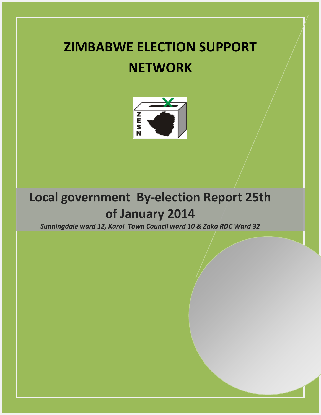# **ZIMBABWE ELECTION SUPPORT NETWORK**



# **Local government By-election Report 25th of January 2014**

*Sunningdale ward 12, Karoi Town Council ward 10 & Zaka RDC Ward 32*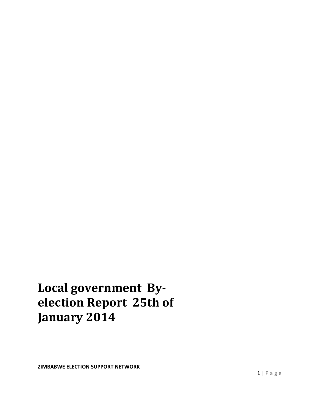# **Local government Byelection Report 25th of January 2014**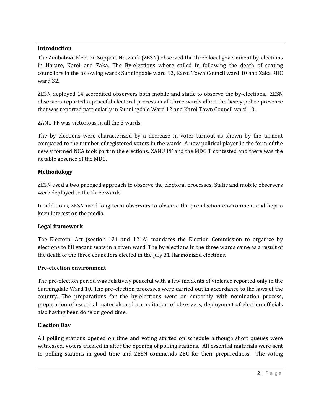### **Introduction**

The Zimbabwe Election Support Network (ZESN) observed the three local government by-elections in Harare, Karoi and Zaka. The By-elections where called in following the death of seating councilors in the following wards Sunningdale ward 12, Karoi Town Council ward 10 and Zaka RDC ward 32.

ZESN deployed 14 accredited observers both mobile and static to observe the by-elections. ZESN observers reported a peaceful electoral process in all three wards albeit the heavy police presence that was reported particularly in Sunningdale Ward 12 and Karoi Town Council ward 10.

ZANU PF was victorious in all the 3 wards.

The by elections were characterized by a decrease in voter turnout as shown by the turnout compared to the number of registered voters in the wards. A new political player in the form of the newly formed NCA took part in the elections. ZANU PF and the MDC T contested and there was the notable absence of the MDC.

## **Methodology**

ZESN used a two pronged approach to observe the electoral processes. Static and mobile observers were deployed to the three wards.

In additions, ZESN used long term observers to observe the pre-election environment and kept a keen interest on the media.

# **Legal framework**

The Electoral Act (section 121 and 121A) mandates the Election Commission to organize by elections to fill vacant seats in a given ward. The by elections in the three wards came as a result of the death of the three councilors elected in the July 31 Harmonized elections.

### **Pre-election environment**

The pre-election period was relatively peaceful with a few incidents of violence reported only in the Sunningdale Ward 10. The pre-election processes were carried out in accordance to the laws of the country. The preparations for the by-elections went on smoothly with nomination process, preparation of essential materials and accreditation of observers, deployment of election officials also having been done on good time.

### **Election Day**

All polling stations opened on time and voting started on schedule although short queues were witnessed. Voters trickled in after the opening of polling stations. All essential materials were sent to polling stations in good time and ZESN commends ZEC for their preparedness. The voting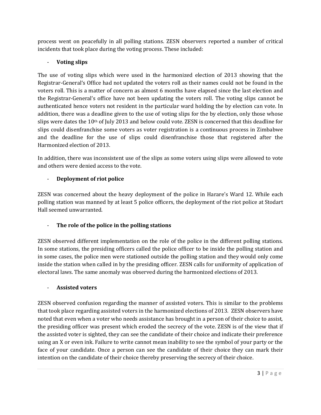process went on peacefully in all polling stations. ZESN observers reported a number of critical incidents that took place during the voting process. These included:

# - **Voting slips**

The use of voting slips which were used in the harmonized election of 2013 showing that the Registrar-General's Office had not updated the voters roll as their names could not be found in the voters roll. This is a matter of concern as almost 6 months have elapsed since the last election and the Registrar-General's office have not been updating the voters roll. The voting slips cannot be authenticated hence voters not resident in the particular ward holding the by election can vote. In addition, there was a deadline given to the use of voting slips for the by election, only those whose slips were dates the 10<sup>th</sup> of July 2013 and below could vote. ZESN is concerned that this deadline for slips could disenfranchise some voters as voter registration is a continuous process in Zimbabwe and the deadline for the use of slips could disenfranchise those that registered after the Harmonized election of 2013.

In addition, there was inconsistent use of the slips as some voters using slips were allowed to vote and others were denied access to the vote.

# - **Deployment of riot police**

ZESN was concerned about the heavy deployment of the police in Harare's Ward 12. While each polling station was manned by at least 5 police officers, the deployment of the riot police at Stodart Hall seemed unwarranted.

# - **The role of the police in the polling stations**

ZESN observed different implementation on the role of the police in the different polling stations. In some stations, the presiding officers called the police officer to be inside the polling station and in some cases, the police men were stationed outside the polling station and they would only come inside the station when called in by the presiding officer. ZESN calls for uniformity of application of electoral laws. The same anomaly was observed during the harmonized elections of 2013.

# - **Assisted voters**

ZESN observed confusion regarding the manner of assisted voters. This is similar to the problems that took place regarding assisted voters in the harmonized elections of 2013. ZESN observers have noted that even when a voter who needs assistance has brought in a person of their choice to assist, the presiding officer was present which eroded the secrecy of the vote. ZESN is of the view that if the assisted voter is sighted, they can see the candidate of their choice and indicate their preference using an X or even ink. Failure to write cannot mean inability to see the symbol of your party or the face of your candidate. Once a person can see the candidate of their choice they can mark their intention on the candidate of their choice thereby preserving the secrecy of their choice.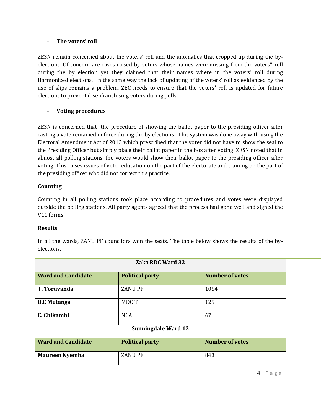#### - **The voters' roll**

ZESN remain concerned about the voters' roll and the anomalies that cropped up during the byelections. Of concern are cases raised by voters whose names were missing from the voters'' roll during the by election yet they claimed that their names where in the voters' roll during Harmonized elections. In the same way the lack of updating of the voters' roll as evidenced by the use of slips remains a problem. ZEC needs to ensure that the voters' roll is updated for future elections to prevent disenfranchising voters during polls.

### - **Voting procedures**

ZESN is concerned that the procedure of showing the ballot paper to the presiding officer after casting a vote remained in force during the by elections. This system was done away with using the Electoral Amendment Act of 2013 which prescribed that the voter did not have to show the seal to the Presiding Officer but simply place their ballot paper in the box after voting. ZESN noted that in almost all polling stations, the voters would show their ballot paper to the presiding officer after voting. This raises issues of voter education on the part of the electorate and training on the part of the presiding officer who did not correct this practice.

### **Counting**

Counting in all polling stations took place according to procedures and votes were displayed outside the polling stations. All party agents agreed that the process had gone well and signed the V11 forms.

### **Results**

| <b>Zaka RDC Ward 32</b>    |                        |                        |  |  |
|----------------------------|------------------------|------------------------|--|--|
| <b>Ward and Candidate</b>  | <b>Political party</b> | <b>Number of votes</b> |  |  |
| <b>T. Toruvanda</b>        | <b>ZANU PF</b>         | 1054                   |  |  |
| <b>B.E Mutanga</b>         | MDC T                  | 129                    |  |  |
| E. Chikamhi                | <b>NCA</b>             | 67                     |  |  |
| <b>Sunningdale Ward 12</b> |                        |                        |  |  |
| <b>Ward and Candidate</b>  | <b>Political party</b> | <b>Number of votes</b> |  |  |
| <b>Maureen Nyemba</b>      | <b>ZANU PF</b>         | 843                    |  |  |

In all the wards, ZANU PF councilors won the seats. The table below shows the results of the byelections.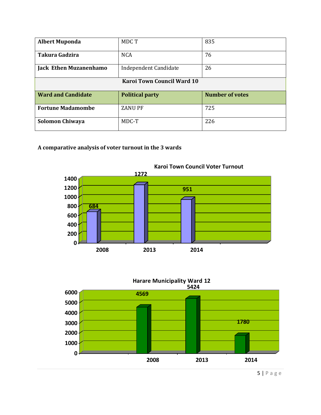| <b>Albert Muponda</b>         | MDC T                        | 835                    |  |  |
|-------------------------------|------------------------------|------------------------|--|--|
| Takura Gadzira                | <b>NCA</b>                   | 76                     |  |  |
| <b>Jack Ethen Muzanenhamo</b> | <b>Independent Candidate</b> | 26                     |  |  |
| Karoi Town Council Ward 10    |                              |                        |  |  |
|                               |                              |                        |  |  |
| <b>Ward and Candidate</b>     | <b>Political party</b>       | <b>Number of votes</b> |  |  |
| <b>Fortune Madamombe</b>      | <b>ZANU PF</b>               | 725                    |  |  |

# **A comparative analysis of voter turnout in the 3 wards**



#### **Karoi Town Council Voter Turnout**





| P a g e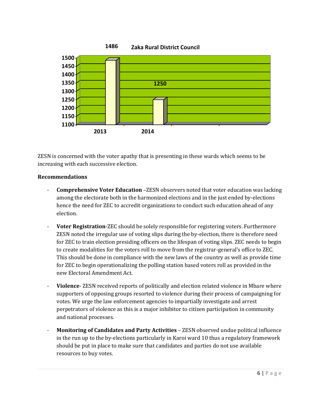



ZESN is concerned with the voter apathy that is presenting in these wards which seems to be increasing with each successive election.

### **Recommendations**

- **Comprehensive Voter Education** –ZESN observers noted that voter education was lacking among the electorate both in the harmonized elections and in the just ended by-elections hence the need for ZEC to accredit organizations to conduct such education ahead of any election.
- **Voter Registration-ZEC** should be solely responsible for registering voters. Furthermore ZESN noted the irregular use of voting slips during the by-election, there is therefore need for ZEC to train election presiding officers on the lifespan of voting slips. ZEC needs to begin to create modalities for the voters roll to move from the registrar-general's office to ZEC. This should be done in compliance with the new laws of the country as well as provide time for ZEC to begin operationalizing the polling station based voters roll as provided in the new Electoral Amendment Act.
- **Violence** ZESN received reports of politically and election related violence in Mbare where supporters of opposing groups resorted to violence during their process of campaigning for votes. We urge the law enforcement agencies to impartially investigate and arrest perpetrators of violence as this is a major inhibitor to citizen participation in community and national processes.
- **Monitoring of Candidates and Party Activities** ZESN observed undue political influence in the run up to the by-elections particularly in Karoi ward 10 thus a regulatory framework should be put in place to make sure that candidates and parties do not use available resources to buy votes.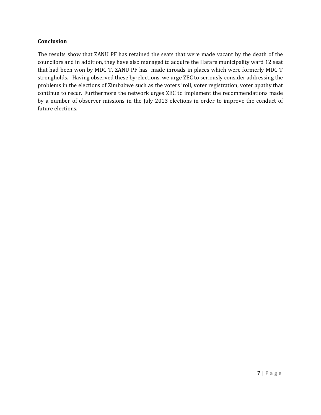### **Conclusion**

The results show that ZANU PF has retained the seats that were made vacant by the death of the councilors and in addition, they have also managed to acquire the Harare municipality ward 12 seat that had been won by MDC T. ZANU PF has made inroads in places which were formerly MDC T strongholds. Having observed these by-elections, we urge ZEC to seriously consider addressing the problems in the elections of Zimbabwe such as the voters 'roll, voter registration, voter apathy that continue to recur. Furthermore the network urges ZEC to implement the recommendations made by a number of observer missions in the July 2013 elections in order to improve the conduct of future elections.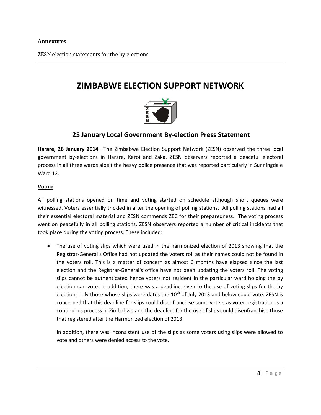#### **Annexures**

ZESN election statements for the by elections

# **ZIMBABWE ELECTION SUPPORT NETWORK**



# **25 January Local Government By-election Press Statement**

**Harare, 26 January 2014** –The Zimbabwe Election Support Network (ZESN) observed the three local government by-elections in Harare, Karoi and Zaka. ZESN observers reported a peaceful electoral process in all three wards albeit the heavy police presence that was reported particularly in Sunningdale Ward 12.

#### **Voting**

All polling stations opened on time and voting started on schedule although short queues were witnessed. Voters essentially trickled in after the opening of polling stations. All polling stations had all their essential electoral material and ZESN commends ZEC for their preparedness. The voting process went on peacefully in all polling stations. ZESN observers reported a number of critical incidents that took place during the voting process. These included:

 The use of voting slips which were used in the harmonized election of 2013 showing that the Registrar-General's Office had not updated the voters roll as their names could not be found in the voters roll. This is a matter of concern as almost 6 months have elapsed since the last election and the Registrar-General's office have not been updating the voters roll. The voting slips cannot be authenticated hence voters not resident in the particular ward holding the by election can vote. In addition, there was a deadline given to the use of voting slips for the by election, only those whose slips were dates the  $10<sup>th</sup>$  of July 2013 and below could vote. ZESN is concerned that this deadline for slips could disenfranchise some voters as voter registration is a continuous process in Zimbabwe and the deadline for the use of slips could disenfranchise those that registered after the Harmonized election of 2013.

In addition, there was inconsistent use of the slips as some voters using slips were allowed to vote and others were denied access to the vote.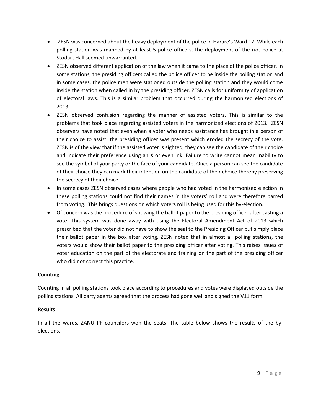- ZESN was concerned about the heavy deployment of the police in Harare's Ward 12. While each polling station was manned by at least 5 police officers, the deployment of the riot police at Stodart Hall seemed unwarranted.
- ZESN observed different application of the law when it came to the place of the police officer. In some stations, the presiding officers called the police officer to be inside the polling station and in some cases, the police men were stationed outside the polling station and they would come inside the station when called in by the presiding officer. ZESN calls for uniformity of application of electoral laws. This is a similar problem that occurred during the harmonized elections of 2013.
- ZESN observed confusion regarding the manner of assisted voters. This is similar to the problems that took place regarding assisted voters in the harmonized elections of 2013. ZESN observers have noted that even when a voter who needs assistance has brought in a person of their choice to assist, the presiding officer was present which eroded the secrecy of the vote. ZESN is of the view that if the assisted voter is sighted, they can see the candidate of their choice and indicate their preference using an X or even ink. Failure to write cannot mean inability to see the symbol of your party or the face of your candidate. Once a person can see the candidate of their choice they can mark their intention on the candidate of their choice thereby preserving the secrecy of their choice.
- In some cases ZESN observed cases where people who had voted in the harmonized election in these polling stations could not find their names in the voters' roll and were therefore barred from voting. This brings questions on which voters roll is being used for this by-election.
- Of concern was the procedure of showing the ballot paper to the presiding officer after casting a vote. This system was done away with using the Electoral Amendment Act of 2013 which prescribed that the voter did not have to show the seal to the Presiding Officer but simply place their ballot paper in the box after voting. ZESN noted that in almost all polling stations, the voters would show their ballot paper to the presiding officer after voting. This raises issues of voter education on the part of the electorate and training on the part of the presiding officer who did not correct this practice.

### **Counting**

Counting in all polling stations took place according to procedures and votes were displayed outside the polling stations. All party agents agreed that the process had gone well and signed the V11 form.

# **Results**

In all the wards, ZANU PF councilors won the seats. The table below shows the results of the byelections.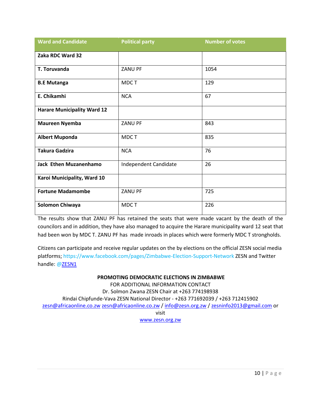| <b>Ward and Candidate</b>          | <b>Political party</b> | <b>Number of votes</b> |
|------------------------------------|------------------------|------------------------|
| Zaka RDC Ward 32                   |                        |                        |
| T. Toruvanda                       | <b>ZANU PF</b>         | 1054                   |
| <b>B.E Mutanga</b>                 | MDC T                  | 129                    |
| E. Chikamhi                        | <b>NCA</b>             | 67                     |
| <b>Harare Municipality Ward 12</b> |                        |                        |
| <b>Maureen Nyemba</b>              | <b>ZANU PF</b>         | 843                    |
| <b>Albert Muponda</b>              | MDC T                  | 835                    |
| <b>Takura Gadzira</b>              | <b>NCA</b>             | 76                     |
| Jack Ethen Muzanenhamo             | Independent Candidate  | 26                     |
| Karoi Municipality, Ward 10        |                        |                        |
| <b>Fortune Madamombe</b>           | ZANU PF                | 725                    |
| <b>Solomon Chiwaya</b>             | MDC T                  | 226                    |

The results show that ZANU PF has retained the seats that were made vacant by the death of the councilors and in addition, they have also managed to acquire the Harare municipality ward 12 seat that had been won by MDC T. ZANU PF has made inroads in places which were formerly MDC T strongholds.

Citizens can participate and receive regular updates on the by elections on the official ZESN social media platforms;<https://www.facebook.com/pages/Zimbabwe-Election-Support-Network> ZESN and Twitter handle: [@ZESN1](https://twitter.com/)

#### **PROMOTING DEMOCRATIC ELECTIONS IN ZIMBABWE**

FOR ADDITIONAL INFORMATION CONTACT Dr. Solmon Zwana ZESN Chair at +263 774198938 Rindai Chipfunde-Vava ZESN National Director - +263 771692039 / +263 712415902 [zesn@africaonline.co.zw](mailto:zesn@africaonline.co.zw) [zesn@africaonline.co.zw](mailto:zesn@africaonline.co.zw) / [info@zesn.org.zw](mailto:info@zesn.org.zw) / [zesninfo2013@gmail.com](mailto:zesninfo2013@gmail.com) or visit [www.zesn.org.zw](http://www.zesn.org.zw/)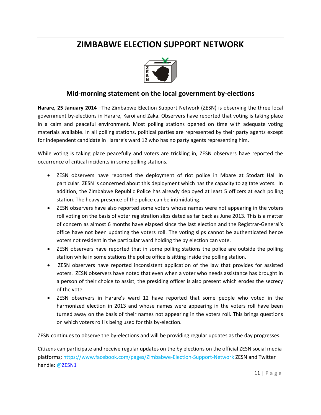# **ZIMBABWE ELECTION SUPPORT NETWORK**



# **Mid-morning statement on the local government by-elections**

**Harare, 25 January 2014** –The Zimbabwe Election Support Network (ZESN) is observing the three local government by-elections in Harare, Karoi and Zaka. Observers have reported that voting is taking place in a calm and peaceful environment. Most polling stations opened on time with adequate voting materials available. In all polling stations, political parties are represented by their party agents except for independent candidate in Harare's ward 12 who has no party agents representing him.

While voting is taking place peacefully and voters are trickling in, ZESN observers have reported the occurrence of critical incidents in some polling stations.

- ZESN observers have reported the deployment of riot police in Mbare at Stodart Hall in particular. ZESN is concerned about this deployment which has the capacity to agitate voters. In addition, the Zimbabwe Republic Police has already deployed at least 5 officers at each polling station. The heavy presence of the police can be intimidating.
- ZESN observers have also reported some voters whose names were not appearing in the voters roll voting on the basis of voter registration slips dated as far back as June 2013. This is a matter of concern as almost 6 months have elapsed since the last election and the Registrar-General's office have not been updating the voters roll. The voting slips cannot be authenticated hence voters not resident in the particular ward holding the by election can vote.
- ZESN observers have reported that in some polling stations the police are outside the polling station while in some stations the police office is sitting inside the polling station.
- ZESN observers have reported inconsistent application of the law that provides for assisted voters. ZESN observers have noted that even when a voter who needs assistance has brought in a person of their choice to assist, the presiding officer is also present which erodes the secrecy of the vote.
- ZESN observers in Harare's ward 12 have reported that some people who voted in the harmonized election in 2013 and whose names were appearing in the voters roll have been turned away on the basis of their names not appearing in the voters roll. This brings questions on which voters roll is being used for this by-election.

ZESN continues to observe the by-elections and will be providing regular updates as the day progresses.

Citizens can participate and receive regular updates on the by elections on the official ZESN social media platforms;<https://www.facebook.com/pages/Zimbabwe-Election-Support-Network> ZESN and Twitter handle: [@ZESN1](https://twitter.com/)